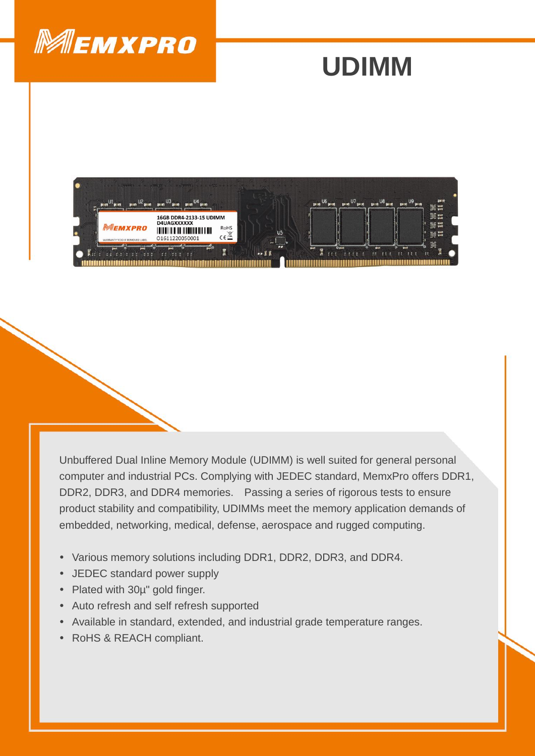

## **UDIMM**



Unbuffered Dual Inline Memory Module (UDIMM) is well suited for general personal computer and industrial PCs. Complying with JEDEC standard, MemxPro offers DDR1, DDR2, DDR3, and DDR4 memories. Passing a series of rigorous tests to ensure product stability and compatibility, UDIMMs meet the memory application demands of embedded, networking, medical, defense, aerospace and rugged computing.

- Various memory solutions including DDR1, DDR2, DDR3, and DDR4.
- JEDEC standard power supply
- Plated with 30µ" gold finger.
- Auto refresh and self refresh supported
- Available in standard, extended, and industrial grade temperature ranges.
- RoHS & REACH compliant.